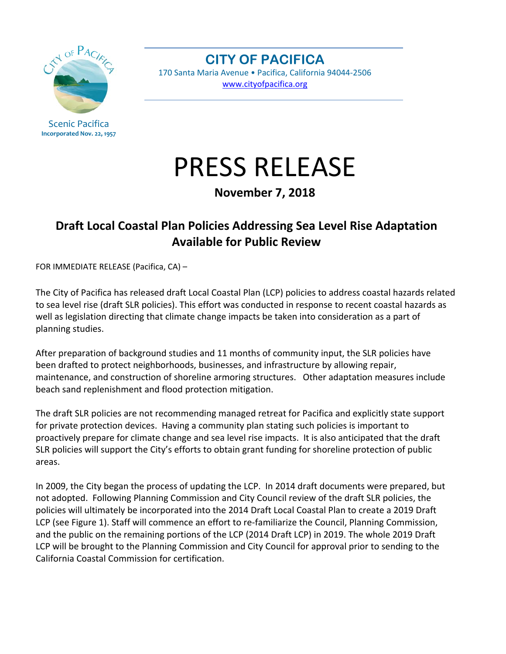

Scenic Pacifica **Incorporated Nov. 22, 1957**

**CITY OF PACIFICA**  170 Santa Maria Avenue • Pacifica, California 94044‐2506 www.cityofpacifica.org

## PRESS RELEASE

**November 7, 2018**

## **Draft Local Coastal Plan Policies Addressing Sea Level Rise Adaptation Available for Public Review**

FOR IMMEDIATE RELEASE (Pacifica, CA) –

The City of Pacifica has released draft Local Coastal Plan (LCP) policies to address coastal hazards related to sea level rise (draft SLR policies). This effort was conducted in response to recent coastal hazards as well as legislation directing that climate change impacts be taken into consideration as a part of planning studies.

After preparation of background studies and 11 months of community input, the SLR policies have been drafted to protect neighborhoods, businesses, and infrastructure by allowing repair, maintenance, and construction of shoreline armoring structures. Other adaptation measures include beach sand replenishment and flood protection mitigation.

The draft SLR policies are not recommending managed retreat for Pacifica and explicitly state support for private protection devices. Having a community plan stating such policies is important to proactively prepare for climate change and sea level rise impacts. It is also anticipated that the draft SLR policies will support the City's efforts to obtain grant funding for shoreline protection of public areas.

In 2009, the City began the process of updating the LCP. In 2014 draft documents were prepared, but not adopted. Following Planning Commission and City Council review of the draft SLR policies, the policies will ultimately be incorporated into the 2014 Draft Local Coastal Plan to create a 2019 Draft LCP (see Figure 1). Staff will commence an effort to re-familiarize the Council, Planning Commission, and the public on the remaining portions of the LCP (2014 Draft LCP) in 2019. The whole 2019 Draft LCP will be brought to the Planning Commission and City Council for approval prior to sending to the California Coastal Commission for certification.